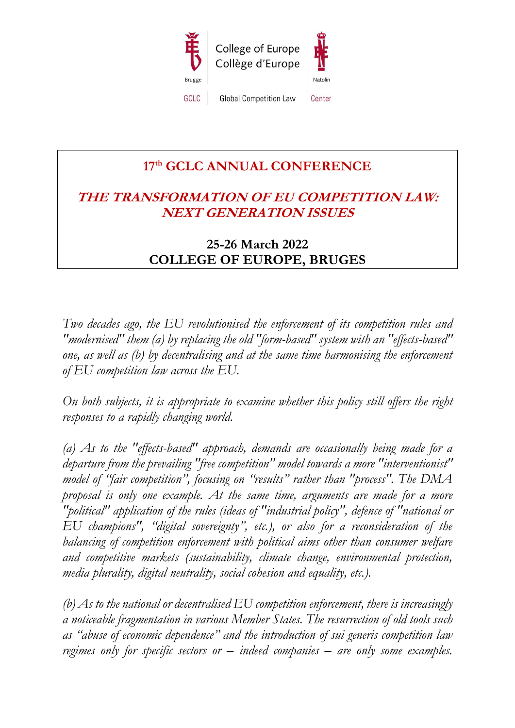

# **17 th GCLC ANNUAL CONFERENCE**

# **THE TRANSFORMATION OF EU COMPETITION LAW: NEXT GENERATION ISSUES**

# **25-26 March 2022 COLLEGE OF EUROPE, BRUGES**

*Two decades ago, the EU revolutionised the enforcement of its competition rules and "modernised" them (a) by replacing the old "form-based" system with an "effects-based" one, as well as (b) by decentralising and at the same time harmonising the enforcement of EU competition law across the EU.*

*On both subjects, it is appropriate to examine whether this policy still offers the right responses to a rapidly changing world.* 

*(a) As to the "effects-based" approach, demands are occasionally being made for a departure from the prevailing "free competition" model towards a more "interventionist" model of "fair competition", focusing on "results" rather than "process". The DMA proposal is only one example. At the same time, arguments are made for a more "political" application of the rules (ideas of "industrial policy", defence of "national or EU champions", "digital sovereignty", etc.), or also for a reconsideration of the balancing of competition enforcement with political aims other than consumer welfare and competitive markets (sustainability, climate change, environmental protection, media plurality, digital neutrality, social cohesion and equality, etc.).* 

*(b) As to the national or decentralised EU competition enforcement, there is increasingly a noticeable fragmentation in various Member States. The resurrection of old tools such as "abuse of economic dependence" and the introduction of sui generis competition law regimes only for specific sectors or – indeed companies – are only some examples.*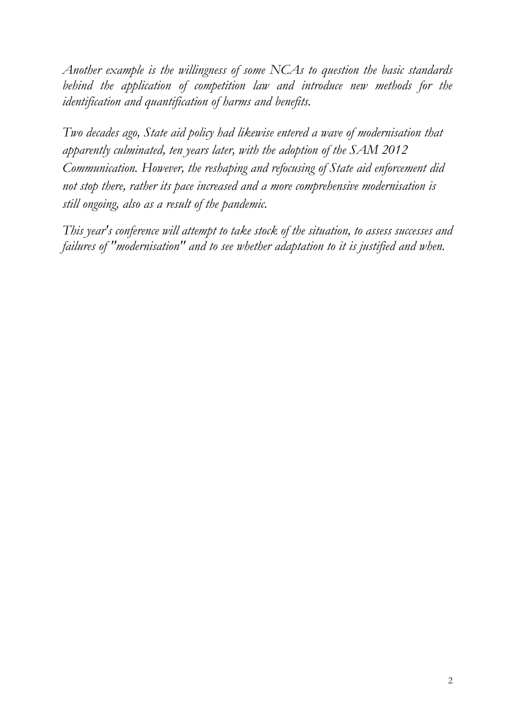*Another example is the willingness of some NCAs to question the basic standards behind the application of competition law and introduce new methods for the identification and quantification of harms and benefits.*

*Two decades ago, State aid policy had likewise entered a wave of modernisation that apparently culminated, ten years later, with the adoption of the SAM 2012 Communication. However, the reshaping and refocusing of State aid enforcement did not stop there, rather its pace increased and a more comprehensive modernisation is still ongoing, also as a result of the pandemic.* 

*This year's conference will attempt to take stock of the situation, to assess successes and failures of "modernisation" and to see whether adaptation to it is justified and when.*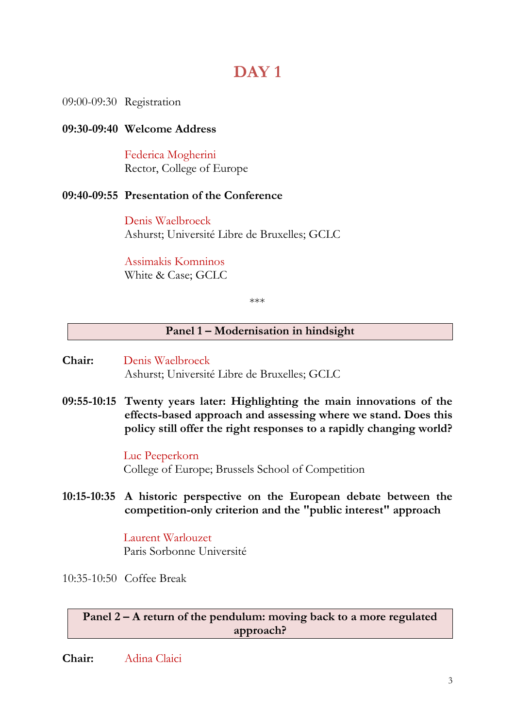# **DAY 1**

09:00-09:30 Registration

# **09:30-09:40 Welcome Address**

Federica Mogherini Rector, College of Europe

### **09:40-09:55 Presentation of the Conference**

Denis Waelbroeck Ashurst; Université Libre de Bruxelles; GCLC

Assimakis Komninos White & Case; GCLC

\*\*\*

### **Panel 1 – Modernisation in hindsight**

- **Chair:** Denis Waelbroeck Ashurst; Université Libre de Bruxelles; GCLC
- **09:55-10:15 Twenty years later: Highlighting the main innovations of the effects-based approach and assessing where we stand. Does this policy still offer the right responses to a rapidly changing world?**

Luc Peeperkorn College of Europe; Brussels School of Competition

**10:15-10:35 A historic perspective on the European debate between the competition-only criterion and the "public interest" approach**

> Laurent Warlouzet Paris Sorbonne Université

10:35-10:50 Coffee Break

**Panel 2 – A return of the pendulum: moving back to a more regulated approach?**

**Chair:** Adina Claici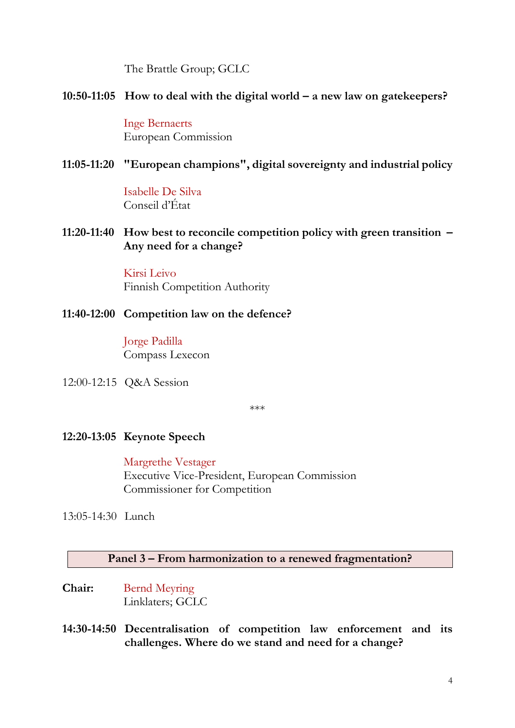The Brattle Group; GCLC

# **10:50-11:05 How to deal with the digital world – a new law on gatekeepers?**

Inge Bernaerts European Commission

# **11:05-11:20 "European champions", digital sovereignty and industrial policy**

Isabelle De Silva Conseil d'État

**11:20-11:40 How best to reconcile competition policy with green transition – Any need for a change?**

> Kirsi Leivo Finnish Competition Authority

**11:40-12:00 Competition law on the defence?**

Jorge Padilla Compass Lexecon

12:00-12:15 Q&A Session

\*\*\*

# **12:20-13:05 Keynote Speech**

Margrethe Vestager Executive Vice-President, European Commission Commissioner for Competition

13:05-14:30 Lunch

# **Panel 3 – From harmonization to a renewed fragmentation?**

- **Chair:** Bernd Meyring Linklaters; GCLC
- **14:30-14:50 Decentralisation of competition law enforcement and its challenges. Where do we stand and need for a change?**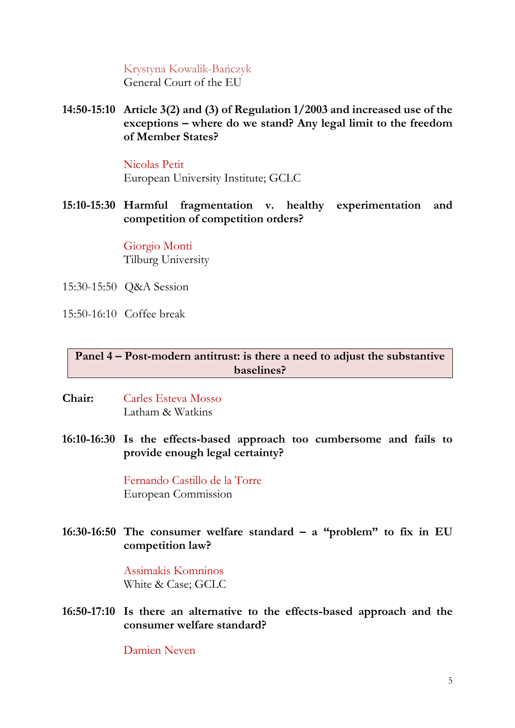# Krystyna Kowalik-Bańczyk

General Court of the EU

**14:50-15:10 Article 3(2) and (3) of Regulation 1/2003 and increased use of the exceptions – where do we stand? Any legal limit to the freedom of Member States?** 

#### Nicolas Petit

European University Institute; GCLC

**15:10-15:30 Harmful fragmentation v. healthy experimentation and competition of competition orders?**

> Giorgio Monti Tilburg University

- 15:30-15:50 Q&A Session
- 15:50-16:10 Coffee break

# **Panel 4 – Post-modern antitrust: is there a need to adjust the substantive baselines?**

- **Chair:** Carles Esteva Mosso Latham & Watkins
- **16:10-16:30 Is the effects-based approach too cumbersome and fails to provide enough legal certainty?**

Fernando Castillo de la Torre European Commission

**16:30-16:50 The consumer welfare standard – a "problem" to fix in EU competition law?**

> Assimakis Komninos White & Case; GCLC

**16:50-17:10 Is there an alternative to the effects-based approach and the consumer welfare standard?**

Damien Neven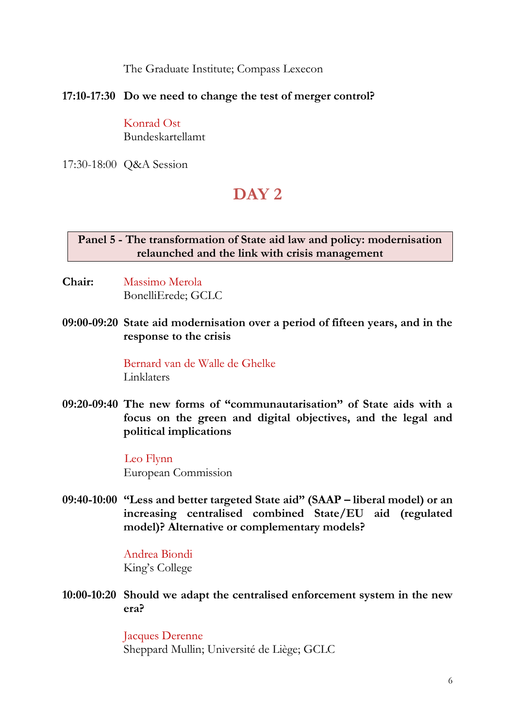The Graduate Institute; Compass Lexecon

# **17:10-17:30 Do we need to change the test of merger control?**

Konrad Ost Bundeskartellamt

17:30-18:00 Q&A Session

# **DAY 2**

# **Panel 5 - The transformation of State aid law and policy: modernisation relaunched and the link with crisis management**

- **Chair:** Massimo Merola BonelliErede; GCLC
- **09:00-09:20 State aid modernisation over a period of fifteen years, and in the response to the crisis**

Bernard van de Walle de Ghelke Linklaters

**09:20-09:40 The new forms of "communautarisation" of State aids with a focus on the green and digital objectives, and the legal and political implications**

> Leo Flynn European Commission

**09:40-10:00 "Less and better targeted State aid" (SAAP – liberal model) or an increasing centralised combined State/EU aid (regulated model)? Alternative or complementary models?**

> Andrea Biondi King's College

**10:00-10:20 Should we adapt the centralised enforcement system in the new era?**

> Jacques Derenne Sheppard Mullin; Université de Liège; GCLC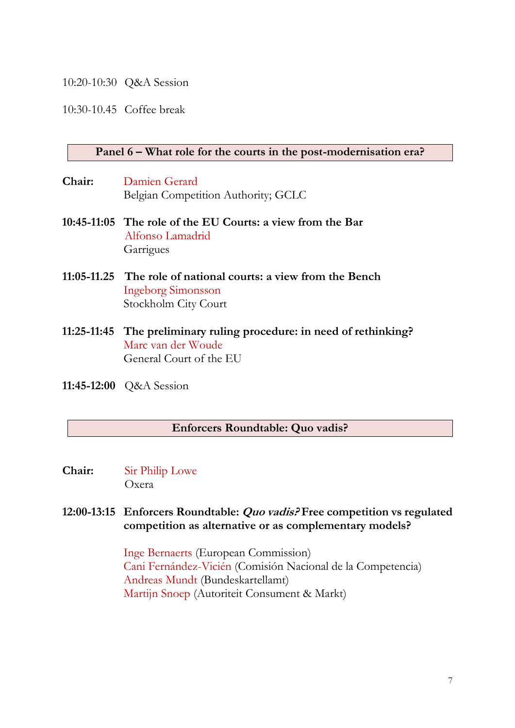#### 10:20-10:30 Q&A Session

10:30-10.45 Coffee break

#### **Panel 6 – What role for the courts in the post-modernisation era?**

- **Chair:** Damien Gerard Belgian Competition Authority; GCLC
- **10:45-11:05 The role of the EU Courts: a view from the Bar** Alfonso Lamadrid Garrigues
- **11:05-11.25 The role of national courts: a view from the Bench** Ingeborg Simonsson Stockholm City Court
- **11:25-11:45 The preliminary ruling procedure: in need of rethinking?** Marc van der Woude General Court of the EU
- **11:45-12:00** Q&A Session

#### **Enforcers Roundtable: Quo vadis?**

**Chair:** Sir Philip Lowe Oxera

### **12:00-13:15 Enforcers Roundtable: Quo vadis? Free competition vs regulated competition as alternative or as complementary models?**

Inge Bernaerts (European Commission) Cani Fernández-Vicién (Comisión Nacional de la Competencia) Andreas Mundt (Bundeskartellamt) Martijn Snoep (Autoriteit Consument & Markt)